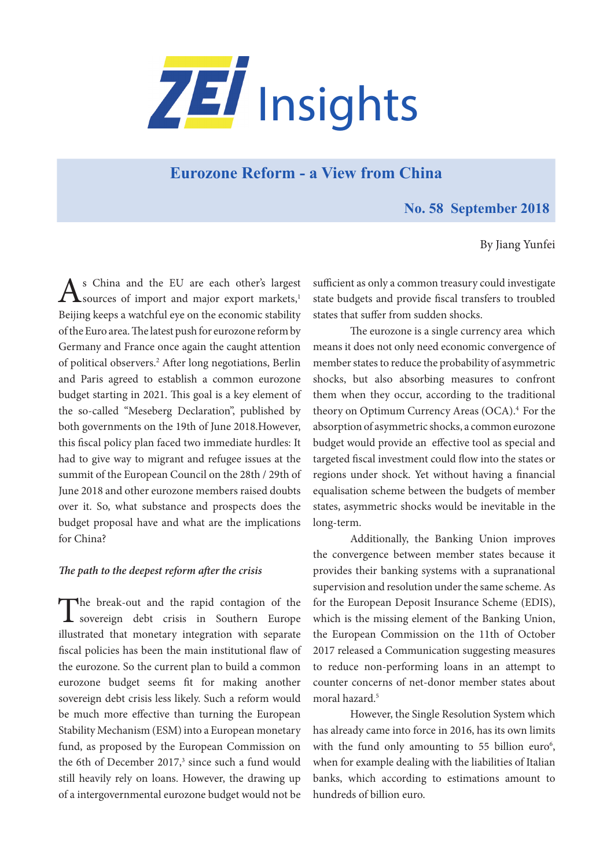

# **[Eurozone Reform - a View from China](https://www.zei.uni-bonn.de/publications/zei-insights)**

## **No. 58 September 2018**

By Jiang Yunfei

As China and the EU are each other's largest<br>
sources of import and major export markets,<sup>1</sup> Beijing keeps a watchful eye on the economic stability of the Euro area. The latest push for eurozone reform by Germany and France once again the caught attention of political observers.2 After long negotiations, Berlin and Paris agreed to establish a common eurozone budget starting in 2021. This goal is a key element of the so-called "Meseberg Declaration", published by both governments on the 19th of June 2018.However, this fiscal policy plan faced two immediate hurdles: It had to give way to migrant and refugee issues at the summit of the European Council on the 28th / 29th of June 2018 and other eurozone members raised doubts over it. So, what substance and prospects does the budget proposal have and what are the implications for China?

### *The path to the deepest reform after the crisis*

The break-out and the rapid contagion of the sovereign debt crisis in Southern Europe illustrated that monetary integration with separate fiscal policies has been the main institutional flaw of the eurozone. So the current plan to build a common eurozone budget seems fit for making another sovereign debt crisis less likely. Such a reform would be much more effective than turning the European Stability Mechanism (ESM) into a European monetary fund, as proposed by the European Commission on the 6th of December  $2017$ ,<sup>3</sup> since such a fund would still heavily rely on loans. However, the drawing up of a intergovernmental eurozone budget would not be

sufficient as only a common treasury could investigate state budgets and provide fiscal transfers to troubled states that suffer from sudden shocks.

The eurozone is a single currency area which means it does not only need economic convergence of member states to reduce the probability of asymmetric shocks, but also absorbing measures to confront them when they occur, according to the traditional theory on Optimum Currency Areas (OCA).<sup>4</sup> For the absorption of asymmetric shocks, a common eurozone budget would provide an effective tool as special and targeted fiscal investment could flow into the states or regions under shock. Yet without having a financial equalisation scheme between the budgets of member states, asymmetric shocks would be inevitable in the long-term.

Additionally, the Banking Union improves the convergence between member states because it provides their banking systems with a supranational supervision and resolution under the same scheme. As for the European Deposit Insurance Scheme (EDIS), which is the missing element of the Banking Union, the European Commission on the 11th of October 2017 released a Communication suggesting measures to reduce non-performing loans in an attempt to counter concerns of net-donor member states about moral hazard.5

However, the Single Resolution System which has already came into force in 2016, has its own limits with the fund only amounting to  $55$  billion euro<sup>6</sup>, when for example dealing with the liabilities of Italian banks, which according to estimations amount to hundreds of billion euro.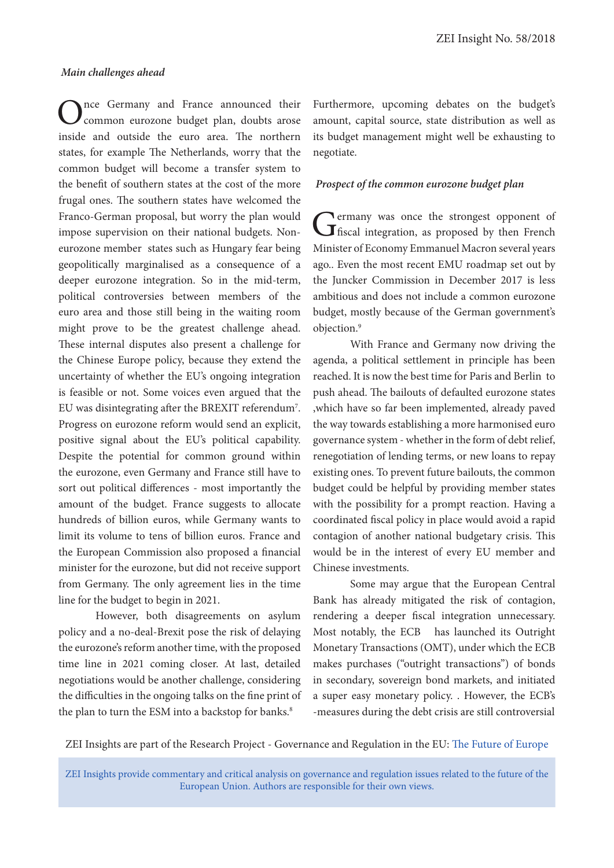#### *Main challenges ahead*

nce Germany and France announced their common eurozone budget plan, doubts arose inside and outside the euro area. The northern states, for example The Netherlands, worry that the common budget will become a transfer system to the benefit of southern states at the cost of the more frugal ones. The southern states have welcomed the Franco-German proposal, but worry the plan would impose supervision on their national budgets. Noneurozone member states such as Hungary fear being geopolitically marginalised as a consequence of a deeper eurozone integration. So in the mid-term, political controversies between members of the euro area and those still being in the waiting room might prove to be the greatest challenge ahead. These internal disputes also present a challenge for the Chinese Europe policy, because they extend the uncertainty of whether the EU's ongoing integration is feasible or not. Some voices even argued that the EU was disintegrating after the BREXIT referendum<sup>7</sup>. Progress on eurozone reform would send an explicit, positive signal about the EU's political capability. Despite the potential for common ground within the eurozone, even Germany and France still have to sort out political differences - most importantly the amount of the budget. France suggests to allocate hundreds of billion euros, while Germany wants to limit its volume to tens of billion euros. France and the European Commission also proposed a financial minister for the eurozone, but did not receive support from Germany. The only agreement lies in the time line for the budget to begin in 2021.

However, both disagreements on asylum policy and a no-deal-Brexit pose the risk of delaying the eurozone's reform another time, with the proposed time line in 2021 coming closer. At last, detailed negotiations would be another challenge, considering the difficulties in the ongoing talks on the fine print of the plan to turn the ESM into a backstop for banks.<sup>8</sup>

Furthermore, upcoming debates on the budget's amount, capital source, state distribution as well as its budget management might well be exhausting to negotiate.

#### *Prospect of the common eurozone budget plan*

Germany was once the strongest opponent of fiscal integration, as proposed by then French Minister of Economy Emmanuel Macron several years ago.. Even the most recent EMU roadmap set out by the Juncker Commission in December 2017 is less ambitious and does not include a common eurozone budget, mostly because of the German government's objection.9

With France and Germany now driving the agenda, a political settlement in principle has been reached. It is now the best time for Paris and Berlin to push ahead. The bailouts of defaulted eurozone states ,which have so far been implemented, already paved the way towards establishing a more harmonised euro governance system - whether in the form of debt relief, renegotiation of lending terms, or new loans to repay existing ones. To prevent future bailouts, the common budget could be helpful by providing member states with the possibility for a prompt reaction. Having a coordinated fiscal policy in place would avoid a rapid contagion of another national budgetary crisis. This would be in the interest of every EU member and Chinese investments.

Some may argue that the European Central Bank has already mitigated the risk of contagion, rendering a deeper fiscal integration unnecessary. Most notably, the ECB has launched its Outright Monetary Transactions (OMT), under which the ECB makes purchases ("outright transactions") of bonds in secondary, sovereign bond markets, and initiated a super easy monetary policy. . However, the ECB's -measures during the debt crisis are still controversial

ZEI Insights are part of the Research Project - Governance and Regulation in the EU: [The Future of Europe](https://www.zei.uni-bonn.de/research/governance-and-regulation?set_language=en)

ZEI Insights provide commentary and critical analysis on governance and regulation issues related to the future of the European Union. Authors are responsible for their own views.